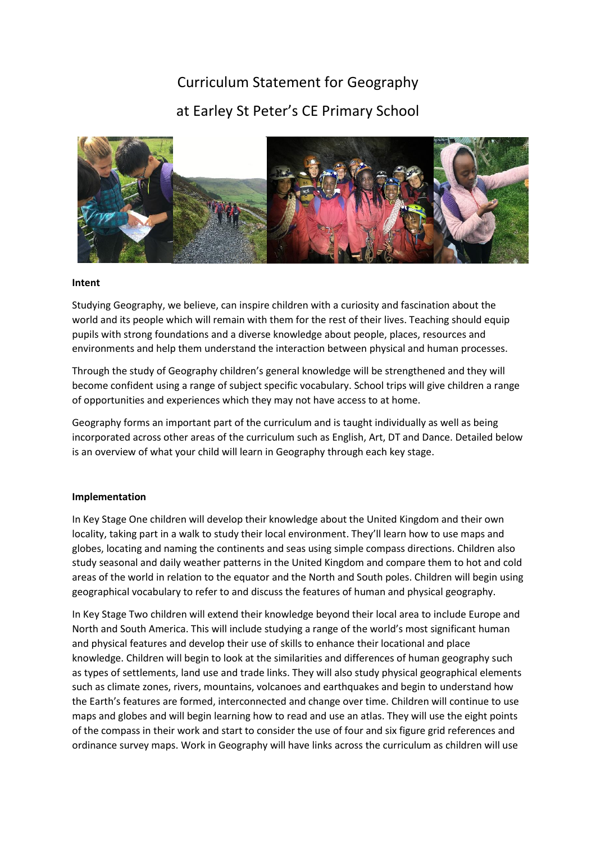# Curriculum Statement for Geography at Earley St Peter's CE Primary School



#### **Intent**

Studying Geography, we believe, can inspire children with a curiosity and fascination about the world and its people which will remain with them for the rest of their lives. Teaching should equip pupils with strong foundations and a diverse knowledge about people, places, resources and environments and help them understand the interaction between physical and human processes.

Through the study of Geography children's general knowledge will be strengthened and they will become confident using a range of subject specific vocabulary. School trips will give children a range of opportunities and experiences which they may not have access to at home.

Geography forms an important part of the curriculum and is taught individually as well as being incorporated across other areas of the curriculum such as English, Art, DT and Dance. Detailed below is an overview of what your child will learn in Geography through each key stage.

### **Implementation**

In Key Stage One children will develop their knowledge about the United Kingdom and their own locality, taking part in a walk to study their local environment. They'll learn how to use maps and globes, locating and naming the continents and seas using simple compass directions. Children also study seasonal and daily weather patterns in the United Kingdom and compare them to hot and cold areas of the world in relation to the equator and the North and South poles. Children will begin using geographical vocabulary to refer to and discuss the features of human and physical geography.

In Key Stage Two children will extend their knowledge beyond their local area to include Europe and North and South America. This will include studying a range of the world's most significant human and physical features and develop their use of skills to enhance their locational and place knowledge. Children will begin to look at the similarities and differences of human geography such as types of settlements, land use and trade links. They will also study physical geographical elements such as climate zones, rivers, mountains, volcanoes and earthquakes and begin to understand how the Earth's features are formed, interconnected and change over time. Children will continue to use maps and globes and will begin learning how to read and use an atlas. They will use the eight points of the compass in their work and start to consider the use of four and six figure grid references and ordinance survey maps. Work in Geography will have links across the curriculum as children will use